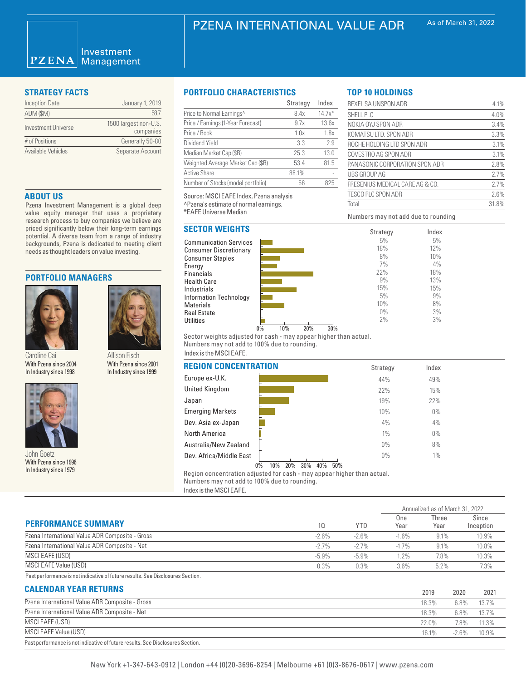### Investment **PZENA** Management

| <b>Inception Date</b> | January 1, 2019                    |
|-----------------------|------------------------------------|
| AUM (\$M)             | 587                                |
| Investment Universe   | 1500 largest non-U.S.<br>companies |
| # of Positions        | Generally 50-80                    |
| Available Vehicles    | Separate Account                   |

### **ABOUT US**

Pzena Investment Management is a global deep value equity manager that uses a proprietary research process to buy companies we believe are priced significantly below their long-term earnings potential. A diverse team from a range of industry backgrounds, Pzena is dedicated to meeting client needs as thought leaders on value investing.

> Allison Fisch With Pzena since 2001 In Industry since 1999

### **PORTFOLIO MANAGERS**



Caroline Cai With Pzena since 2004 In Industry since 1998



With Pzena since 1996 In Industry since 1979

### **STRATEGY FACTS PORTFOLIO CHARACTERISTICS**

|                                    | Strategy | Index    |
|------------------------------------|----------|----------|
| Price to Normal Earnings^          | 8.4x     | $14.7x*$ |
| Price / Earnings (1-Year Forecast) | 9.7x     | 13.6x    |
| Price / Book                       | 1.0x     | 1.8x     |
| Dividend Yield                     | 3.3      | 2.9      |
| Median Market Cap (\$B)            | 25.3     | 13.0     |
| Weighted Average Market Cap (\$B)  | 53.4     | 81.5     |
| <b>Active Share</b>                | 88.1%    |          |
| Number of Stocks (model portfolio) | 56       | 825      |

Source: MSCI EAFE Index, Pzena analysis

^Pzena's estimate of normal earnings.

\*EAFE Universe Median

# **SECTOR WEIGHTS**





Numbers may not add due to rounding

REXEL SA UNSPON ADR
4.1% SHELL PLC 4.0% NOKIA OYJ SPON ADR 3.4% KOMATSU LTD. SPON ADR 3.3% ROCHE HOLDING LTD SPON ADR 3.1% COVESTRO AG SPON ADR
3.1% PANASONIC CORPORATION SPON ADR 2.8% UBS GROUP AG 2.7% FRESENIUS MEDICAL CARE AG & CO. 2.7% TESCO PLC SPON ADR
2.6% Total 31.8%

> Index 5% 12% 10% 4% 18% 13% 15% 9% 8% 3% 3%

**TOP 10 HOLDINGS**

Sector weights adjusted for cash - may appear higher than actual. Numbers may not add to 100% due to rounding.

# Index is the MSCI EAFE.

| With Pzena since 2004<br>In Industry since 1998                | VVith Pzena since 2001<br>In Industry since 1999 | <b>REGION CONCENTRATION</b>                                  | Strategy     | Index |  |
|----------------------------------------------------------------|--------------------------------------------------|--------------------------------------------------------------|--------------|-------|--|
|                                                                | Europe ex-U.K.                                   | 44%                                                          | 49%          |       |  |
|                                                                |                                                  | United Kingdom                                               | 22%          | 15%   |  |
|                                                                | Japan                                            | 19%                                                          | 22%          |       |  |
|                                                                |                                                  | <b>Emerging Markets</b>                                      | 10%          | $0\%$ |  |
|                                                                |                                                  | Dev. Asia ex-Japan                                           | 4%           | 4%    |  |
|                                                                |                                                  | North America                                                | $1\%$        | $0\%$ |  |
|                                                                | Australia/New Zealand                            | $0\%$                                                        | 8%           |       |  |
| John Goetz<br>With Pzena since 1996<br>la laduata cainga 1070. |                                                  | Dev. Africa/Middle East<br>10%<br>30%<br>40%<br>20%<br>$0\%$ | $0\%$<br>50% | $1\%$ |  |

Region concentration adjusted for cash - may appear higher than actual. Numbers may not add to 100% due to rounding. Index is the MSCI EAFE.

|                                                                                                                                                                                                                                   |          | Annualized as of March 31, 2022 |             |               |      |                    |
|-----------------------------------------------------------------------------------------------------------------------------------------------------------------------------------------------------------------------------------|----------|---------------------------------|-------------|---------------|------|--------------------|
| <b>PERFORMANCE SUMMARY</b>                                                                                                                                                                                                        | 10       | <b>YTD</b>                      | One<br>Year | Three<br>Year |      | Since<br>Inception |
| Pzena International Value ADR Composite - Gross                                                                                                                                                                                   | $-2.6%$  | $-2.6%$                         | $-1.6%$     | 9.1%          |      | 10.9%              |
| Pzena International Value ADR Composite - Net                                                                                                                                                                                     | $-2.7%$  | $-2.7%$                         | $-1.7\%$    | 9.1%          |      | 10.8%              |
| MSCI EAFE (USD)                                                                                                                                                                                                                   | $-5.9\%$ | $-5.9\%$                        | 1.2%        | 7.8%          |      | 10.3%              |
| MSCI EAFE Value (USD)                                                                                                                                                                                                             | 0.3%     | 0.3%                            | $3.6\%$     | $5.2\%$       |      | 7.3%               |
| Past performance is not indicative of future results. See Disclosures Section.                                                                                                                                                    |          |                                 |             |               |      |                    |
| <b>CALENDAR YEAR RETURNS</b>                                                                                                                                                                                                      |          |                                 |             | 2019          | 2020 | 2021               |
| Pzena International Value ADR Composite - Gross                                                                                                                                                                                   |          |                                 |             | 18.3%         | 6.8% | 13.7%              |
| $\mathbf{r}$ . The state of the state of the state of the state of the state of the state of the state of the state of the state of the state of the state of the state of the state of the state of the state of the state of th |          |                                 |             |               |      |                    |

|                                                 | 20 I Y | ZUZU    | ZUZ   |
|-------------------------------------------------|--------|---------|-------|
| Pzena International Value ADR Composite - Gross | 18.3%  | 6.8%    | 13.7% |
| Pzena International Value ADR Composite - Net   | 18.3%  | 6.8%    | 13.7% |
| MSCI EAFE (USD)                                 | 22.0%  | 7.8%    | 11.3% |
| MSCI EAFE Value (USD)                           | 16.1%  | $-2.6%$ | 10.9% |
|                                                 |        |         |       |

Past performance is not indicative of future results. See Disclosures Section.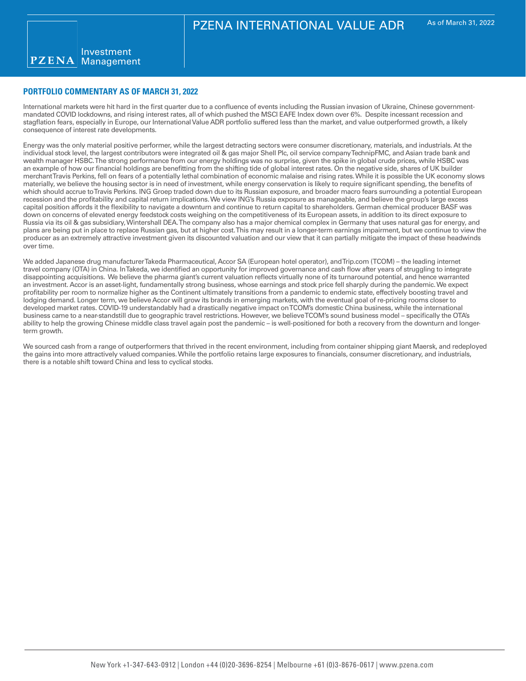# **PORTFOLIO COMMENTARY AS OF MARCH 31, 2022**

International markets were hit hard in the first quarter due to a confluence of events including the Russian invasion of Ukraine, Chinese governmentmandated COVID lockdowns, and rising interest rates, all of which pushed the MSCI EAFE Index down over 6%. Despite incessant recession and stagflation fears, especially in Europe, our International Value ADR portfolio suffered less than the market, and value outperformed growth, a likely consequence of interest rate developments.

Energy was the only material positive performer, while the largest detracting sectors were consumer discretionary, materials, and industrials. At the individual stock level, the largest contributors were integrated oil & gas major Shell Plc, oil service company TechnipFMC, and Asian trade bank and wealth manager HSBC. The strong performance from our energy holdings was no surprise, given the spike in global crude prices, while HSBC was an example of how our financial holdings are benefitting from the shifting tide of global interest rates. On the negative side, shares of UK builder merchant Travis Perkins, fell on fears of a potentially lethal combination of economic malaise and rising rates. While it is possible the UK economy slows materially, we believe the housing sector is in need of investment, while energy conservation is likely to require significant spending, the benefits of which should accrue to Travis Perkins. ING Groep traded down due to its Russian exposure, and broader macro fears surrounding a potential European recession and the profitability and capital return implications. We view ING's Russia exposure as manageable, and believe the group's large excess capital position affords it the flexibility to navigate a downturn and continue to return capital to shareholders. German chemical producer BASF was down on concerns of elevated energy feedstock costs weighing on the competitiveness of its European assets, in addition to its direct exposure to Russia via its oil & gas subsidiary, Wintershall DEA. The company also has a major chemical complex in Germany that uses natural gas for energy, and plans are being put in place to replace Russian gas, but at higher cost. This may result in a longer-term earnings impairment, but we continue to view the producer as an extremely attractive investment given its discounted valuation and our view that it can partially mitigate the impact of these headwinds over time.

We added Japanese drug manufacturer Takeda Pharmaceutical, Accor SA (European hotel operator), and Trip.com (TCOM) – the leading internet travel company (OTA) in China. In Takeda, we identified an opportunity for improved governance and cash flow after years of struggling to integrate disappointing acquisitions. We believe the pharma giant's current valuation reflects virtually none of its turnaround potential, and hence warranted an investment. Accor is an asset-light, fundamentally strong business, whose earnings and stock price fell sharply during the pandemic. We expect profitability per room to normalize higher as the Continent ultimately transitions from a pandemic to endemic state, effectively boosting travel and lodging demand. Longer term, we believe Accor will grow its brands in emerging markets, with the eventual goal of re-pricing rooms closer to developed market rates. COVID-19 understandably had a drastically negative impact on TCOM's domestic China business, while the international business came to a near-standstill due to geographic travel restrictions. However, we believe TCOM's sound business model – specifically the OTA's ability to help the growing Chinese middle class travel again post the pandemic – is well-positioned for both a recovery from the downturn and longerterm growth.

We sourced cash from a range of outperformers that thrived in the recent environment, including from container shipping giant Maersk, and redeployed the gains into more attractively valued companies. While the portfolio retains large exposures to financials, consumer discretionary, and industrials, there is a notable shift toward China and less to cyclical stocks.